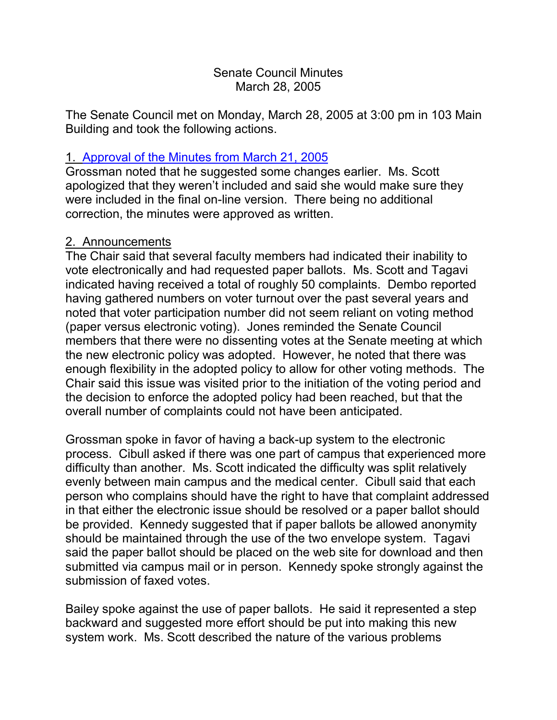### Senate Council Minutes March 28, 2005

The Senate Council met on Monday, March 28, 2005 at 3:00 pm in 103 Main Building and took the following actions.

# 1. [Approval of the Minutes from](http://www.uky.edu/USC/New/SCMinutes/SC%20Minutes%20March%2021%202005%20FINAL.htm) March 21, 2005

Grossman noted that he suggested some changes earlier. Ms. Scott apologized that they weren't included and said she would make sure they were included in the final on-line version. There being no additional correction, the minutes were approved as written.

# 2. Announcements

The Chair said that several faculty members had indicated their inability to vote electronically and had requested paper ballots. Ms. Scott and Tagavi indicated having received a total of roughly 50 complaints. Dembo reported having gathered numbers on voter turnout over the past several years and noted that voter participation number did not seem reliant on voting method (paper versus electronic voting). Jones reminded the Senate Council members that there were no dissenting votes at the Senate meeting at which the new electronic policy was adopted. However, he noted that there was enough flexibility in the adopted policy to allow for other voting methods. The Chair said this issue was visited prior to the initiation of the voting period and the decision to enforce the adopted policy had been reached, but that the overall number of complaints could not have been anticipated.

Grossman spoke in favor of having a back-up system to the electronic process. Cibull asked if there was one part of campus that experienced more difficulty than another. Ms. Scott indicated the difficulty was split relatively evenly between main campus and the medical center. Cibull said that each person who complains should have the right to have that complaint addressed in that either the electronic issue should be resolved or a paper ballot should be provided. Kennedy suggested that if paper ballots be allowed anonymity should be maintained through the use of the two envelope system. Tagavi said the paper ballot should be placed on the web site for download and then submitted via campus mail or in person. Kennedy spoke strongly against the submission of faxed votes.

Bailey spoke against the use of paper ballots. He said it represented a step backward and suggested more effort should be put into making this new system work. Ms. Scott described the nature of the various problems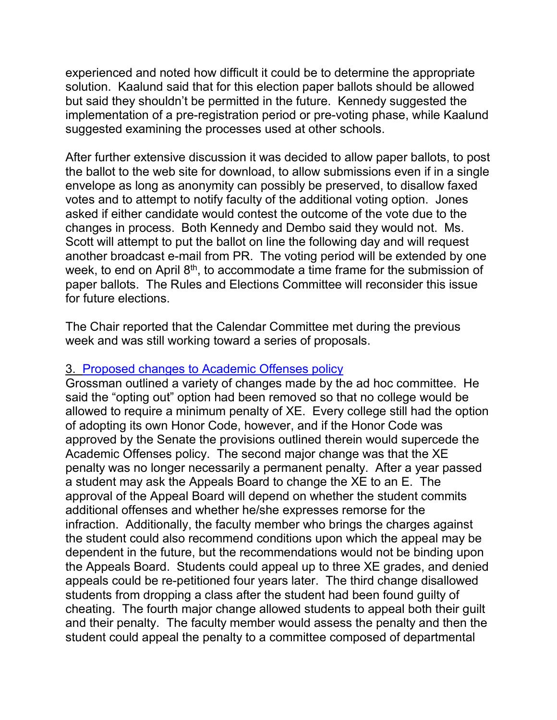experienced and noted how difficult it could be to determine the appropriate solution. Kaalund said that for this election paper ballots should be allowed but said they shouldn't be permitted in the future. Kennedy suggested the implementation of a pre-registration period or pre-voting phase, while Kaalund suggested examining the processes used at other schools.

After further extensive discussion it was decided to allow paper ballots, to post the ballot to the web site for download, to allow submissions even if in a single envelope as long as anonymity can possibly be preserved, to disallow faxed votes and to attempt to notify faculty of the additional voting option. Jones asked if either candidate would contest the outcome of the vote due to the changes in process. Both Kennedy and Dembo said they would not. Ms. Scott will attempt to put the ballot on line the following day and will request another broadcast e-mail from PR. The voting period will be extended by one week, to end on April 8<sup>th</sup>, to accommodate a time frame for the submission of paper ballots. The Rules and Elections Committee will reconsider this issue for future elections.

The Chair reported that the Calendar Committee met during the previous week and was still working toward a series of proposals.

### 3. [Proposed changes to Academic Offenses policy](http://www.chem.uky.edu/research/grossman/prop_acad_offenses.pdf)

Grossman outlined a variety of changes made by the ad hoc committee. He said the "opting out" option had been removed so that no college would be allowed to require a minimum penalty of XE. Every college still had the option of adopting its own Honor Code, however, and if the Honor Code was approved by the Senate the provisions outlined therein would supercede the Academic Offenses policy. The second major change was that the XE penalty was no longer necessarily a permanent penalty. After a year passed a student may ask the Appeals Board to change the XE to an E. The approval of the Appeal Board will depend on whether the student commits additional offenses and whether he/she expresses remorse for the infraction. Additionally, the faculty member who brings the charges against the student could also recommend conditions upon which the appeal may be dependent in the future, but the recommendations would not be binding upon the Appeals Board. Students could appeal up to three XE grades, and denied appeals could be re-petitioned four years later. The third change disallowed students from dropping a class after the student had been found guilty of cheating. The fourth major change allowed students to appeal both their guilt and their penalty. The faculty member would assess the penalty and then the student could appeal the penalty to a committee composed of departmental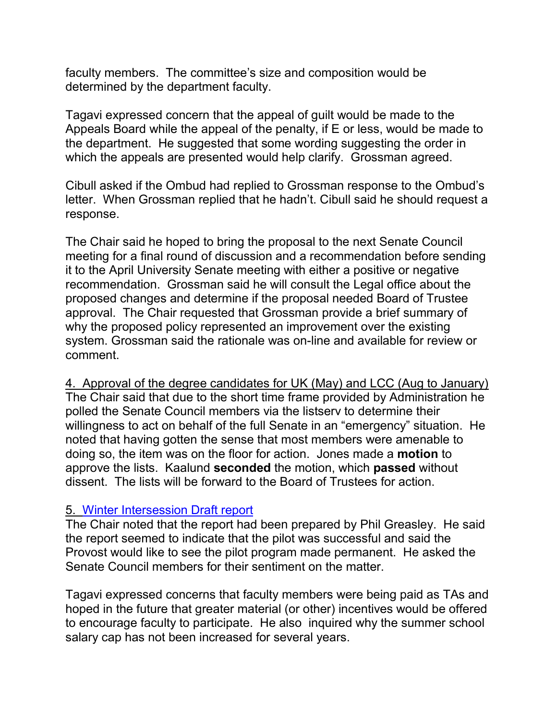faculty members. The committee's size and composition would be determined by the department faculty.

Tagavi expressed concern that the appeal of guilt would be made to the Appeals Board while the appeal of the penalty, if E or less, would be made to the department. He suggested that some wording suggesting the order in which the appeals are presented would help clarify. Grossman agreed.

Cibull asked if the Ombud had replied to Grossman response to the Ombud's letter. When Grossman replied that he hadn't. Cibull said he should request a response.

The Chair said he hoped to bring the proposal to the next Senate Council meeting for a final round of discussion and a recommendation before sending it to the April University Senate meeting with either a positive or negative recommendation. Grossman said he will consult the Legal office about the proposed changes and determine if the proposal needed Board of Trustee approval. The Chair requested that Grossman provide a brief summary of why the proposed policy represented an improvement over the existing system. Grossman said the rationale was on-line and available for review or comment.

4. Approval of the degree candidates for UK (May) and LCC (Aug to January) The Chair said that due to the short time frame provided by Administration he polled the Senate Council members via the listserv to determine their willingness to act on behalf of the full Senate in an "emergency" situation. He noted that having gotten the sense that most members were amenable to doing so, the item was on the floor for action. Jones made a **motion** to approve the lists. Kaalund **seconded** the motion, which **passed** without dissent. The lists will be forward to the Board of Trustees for action.

### 5. [Winter Intersession Draft report](http://www.uky.edu/USC/New/SCAgendas/20050328/Winter%20Intersession%202004-05%20Report%2020050303.doc)

The Chair noted that the report had been prepared by Phil Greasley. He said the report seemed to indicate that the pilot was successful and said the Provost would like to see the pilot program made permanent. He asked the Senate Council members for their sentiment on the matter.

Tagavi expressed concerns that faculty members were being paid as TAs and hoped in the future that greater material (or other) incentives would be offered to encourage faculty to participate. He also inquired why the summer school salary cap has not been increased for several years.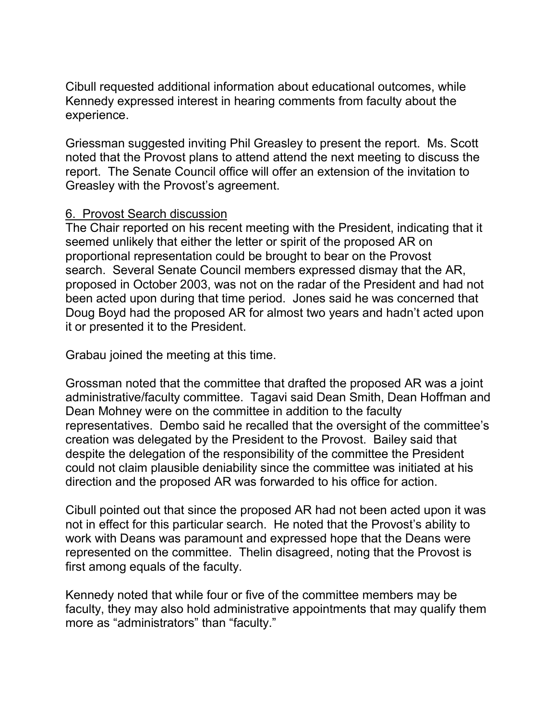Cibull requested additional information about educational outcomes, while Kennedy expressed interest in hearing comments from faculty about the experience.

Griessman suggested inviting Phil Greasley to present the report. Ms. Scott noted that the Provost plans to attend attend the next meeting to discuss the report. The Senate Council office will offer an extension of the invitation to Greasley with the Provost's agreement.

#### 6. Provost Search discussion

The Chair reported on his recent meeting with the President, indicating that it seemed unlikely that either the letter or spirit of the proposed AR on proportional representation could be brought to bear on the Provost search. Several Senate Council members expressed dismay that the AR, proposed in October 2003, was not on the radar of the President and had not been acted upon during that time period. Jones said he was concerned that Doug Boyd had the proposed AR for almost two years and hadn't acted upon it or presented it to the President.

Grabau joined the meeting at this time.

Grossman noted that the committee that drafted the proposed AR was a joint administrative/faculty committee. Tagavi said Dean Smith, Dean Hoffman and Dean Mohney were on the committee in addition to the faculty representatives. Dembo said he recalled that the oversight of the committee's creation was delegated by the President to the Provost. Bailey said that despite the delegation of the responsibility of the committee the President could not claim plausible deniability since the committee was initiated at his direction and the proposed AR was forwarded to his office for action.

Cibull pointed out that since the proposed AR had not been acted upon it was not in effect for this particular search. He noted that the Provost's ability to work with Deans was paramount and expressed hope that the Deans were represented on the committee. Thelin disagreed, noting that the Provost is first among equals of the faculty.

Kennedy noted that while four or five of the committee members may be faculty, they may also hold administrative appointments that may qualify them more as "administrators" than "faculty."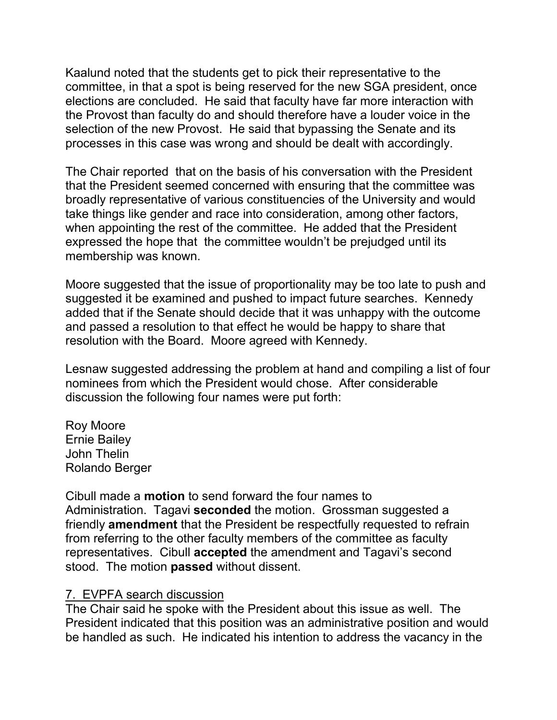Kaalund noted that the students get to pick their representative to the committee, in that a spot is being reserved for the new SGA president, once elections are concluded. He said that faculty have far more interaction with the Provost than faculty do and should therefore have a louder voice in the selection of the new Provost. He said that bypassing the Senate and its processes in this case was wrong and should be dealt with accordingly.

The Chair reported that on the basis of his conversation with the President that the President seemed concerned with ensuring that the committee was broadly representative of various constituencies of the University and would take things like gender and race into consideration, among other factors, when appointing the rest of the committee. He added that the President expressed the hope that the committee wouldn't be prejudged until its membership was known.

Moore suggested that the issue of proportionality may be too late to push and suggested it be examined and pushed to impact future searches. Kennedy added that if the Senate should decide that it was unhappy with the outcome and passed a resolution to that effect he would be happy to share that resolution with the Board. Moore agreed with Kennedy.

Lesnaw suggested addressing the problem at hand and compiling a list of four nominees from which the President would chose. After considerable discussion the following four names were put forth:

Roy Moore Ernie Bailey John Thelin Rolando Berger

Cibull made a **motion** to send forward the four names to Administration. Tagavi **seconded** the motion. Grossman suggested a friendly **amendment** that the President be respectfully requested to refrain from referring to the other faculty members of the committee as faculty representatives. Cibull **accepted** the amendment and Tagavi's second stood. The motion **passed** without dissent.

### 7. EVPFA search discussion

The Chair said he spoke with the President about this issue as well. The President indicated that this position was an administrative position and would be handled as such. He indicated his intention to address the vacancy in the